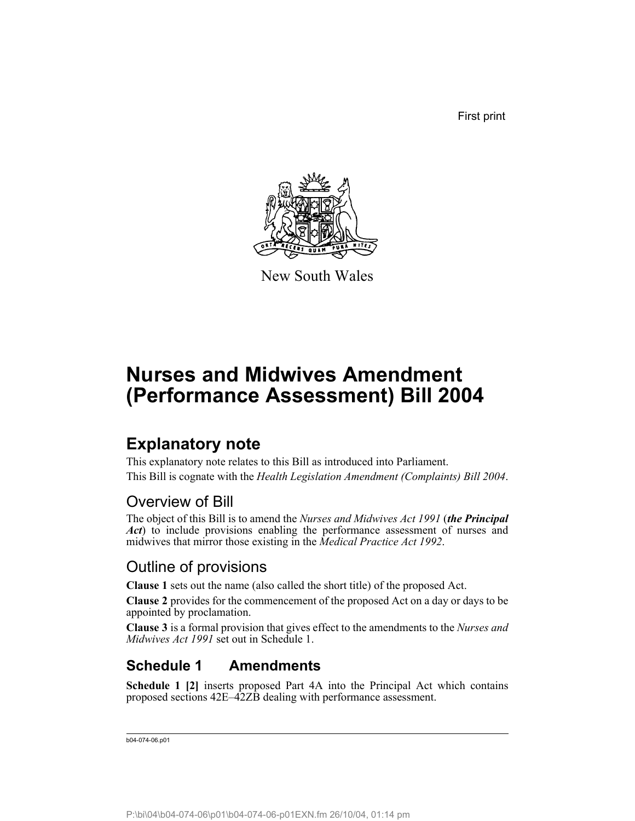First print



New South Wales

# **Nurses and Midwives Amendment (Performance Assessment) Bill 2004**

## **Explanatory note**

This explanatory note relates to this Bill as introduced into Parliament. This Bill is cognate with the *Health Legislation Amendment (Complaints) Bill 2004*.

## Overview of Bill

The object of this Bill is to amend the *Nurses and Midwives Act 1991* (*the Principal Act*) to include provisions enabling the performance assessment of nurses and midwives that mirror those existing in the *Medical Practice Act 1992*.

### Outline of provisions

**Clause 1** sets out the name (also called the short title) of the proposed Act.

**Clause 2** provides for the commencement of the proposed Act on a day or days to be appointed by proclamation.

**Clause 3** is a formal provision that gives effect to the amendments to the *Nurses and Midwives Act 1991* set out in Schedule 1.

## **Schedule 1 Amendments**

**Schedule 1 [2]** inserts proposed Part 4A into the Principal Act which contains proposed sections 42E–42ZB dealing with performance assessment.

b04-074-06.p01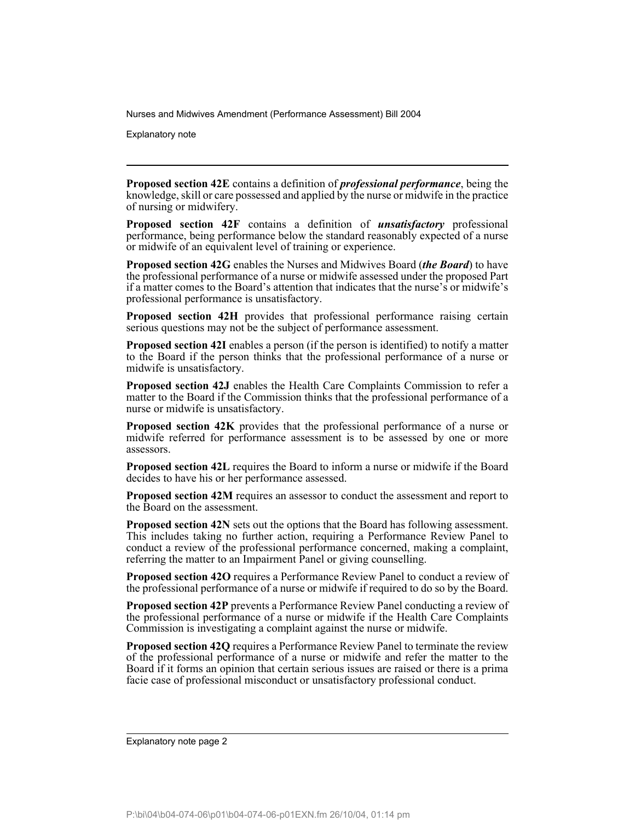Explanatory note

**Proposed section 42E** contains a definition of *professional performance*, being the knowledge, skill or care possessed and applied by the nurse or midwife in the practice of nursing or midwifery.

**Proposed section 42F** contains a definition of *unsatisfactory* professional performance, being performance below the standard reasonably expected of a nurse or midwife of an equivalent level of training or experience.

**Proposed section 42G** enables the Nurses and Midwives Board (*the Board*) to have the professional performance of a nurse or midwife assessed under the proposed Part if a matter comes to the Board's attention that indicates that the nurse's or midwife's professional performance is unsatisfactory.

**Proposed section 42H** provides that professional performance raising certain serious questions may not be the subject of performance assessment.

**Proposed section 42I** enables a person (if the person is identified) to notify a matter to the Board if the person thinks that the professional performance of a nurse or midwife is unsatisfactory.

**Proposed section 42J** enables the Health Care Complaints Commission to refer a matter to the Board if the Commission thinks that the professional performance of a nurse or midwife is unsatisfactory.

**Proposed section 42K** provides that the professional performance of a nurse or midwife referred for performance assessment is to be assessed by one or more assessors.

**Proposed section 42L** requires the Board to inform a nurse or midwife if the Board decides to have his or her performance assessed.

**Proposed section 42M** requires an assessor to conduct the assessment and report to the Board on the assessment.

**Proposed section 42N** sets out the options that the Board has following assessment. This includes taking no further action, requiring a Performance Review Panel to conduct a review of the professional performance concerned, making a complaint, referring the matter to an Impairment Panel or giving counselling.

**Proposed section 42O** requires a Performance Review Panel to conduct a review of the professional performance of a nurse or midwife if required to do so by the Board.

**Proposed section 42P** prevents a Performance Review Panel conducting a review of the professional performance of a nurse or midwife if the Health Care Complaints Commission is investigating a complaint against the nurse or midwife.

**Proposed section 42Q** requires a Performance Review Panel to terminate the review of the professional performance of a nurse or midwife and refer the matter to the Board if it forms an opinion that certain serious issues are raised or there is a prima facie case of professional misconduct or unsatisfactory professional conduct.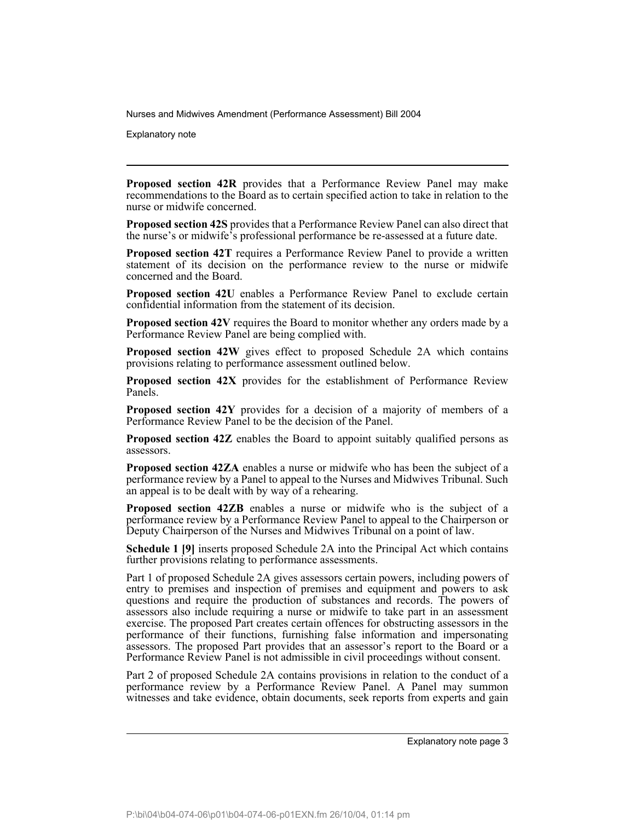Explanatory note

**Proposed section 42R** provides that a Performance Review Panel may make recommendations to the Board as to certain specified action to take in relation to the nurse or midwife concerned.

**Proposed section 42S** provides that a Performance Review Panel can also direct that the nurse's or midwife's professional performance be re-assessed at a future date.

**Proposed section 42T** requires a Performance Review Panel to provide a written statement of its decision on the performance review to the nurse or midwife concerned and the Board.

**Proposed section 42U** enables a Performance Review Panel to exclude certain confidential information from the statement of its decision.

**Proposed section 42V** requires the Board to monitor whether any orders made by a Performance Review Panel are being complied with.

**Proposed section 42W** gives effect to proposed Schedule 2A which contains provisions relating to performance assessment outlined below.

**Proposed section 42X** provides for the establishment of Performance Review Panels.

**Proposed section 42Y** provides for a decision of a majority of members of a Performance Review Panel to be the decision of the Panel.

**Proposed section 42Z** enables the Board to appoint suitably qualified persons as assessors.

**Proposed section 42ZA** enables a nurse or midwife who has been the subject of a performance review by a Panel to appeal to the Nurses and Midwives Tribunal. Such an appeal is to be dealt with by way of a rehearing.

**Proposed section 42ZB** enables a nurse or midwife who is the subject of a performance review by a Performance Review Panel to appeal to the Chairperson or Deputy Chairperson of the Nurses and Midwives Tribunal on a point of law.

**Schedule 1 [9]** inserts proposed Schedule 2A into the Principal Act which contains further provisions relating to performance assessments.

Part 1 of proposed Schedule 2A gives assessors certain powers, including powers of entry to premises and inspection of premises and equipment and powers to ask questions and require the production of substances and records. The powers of assessors also include requiring a nurse or midwife to take part in an assessment exercise. The proposed Part creates certain offences for obstructing assessors in the performance of their functions, furnishing false information and impersonating assessors. The proposed Part provides that an assessor's report to the Board or a Performance Review Panel is not admissible in civil proceedings without consent.

Part 2 of proposed Schedule 2A contains provisions in relation to the conduct of a performance review by a Performance Review Panel. A Panel may summon witnesses and take evidence, obtain documents, seek reports from experts and gain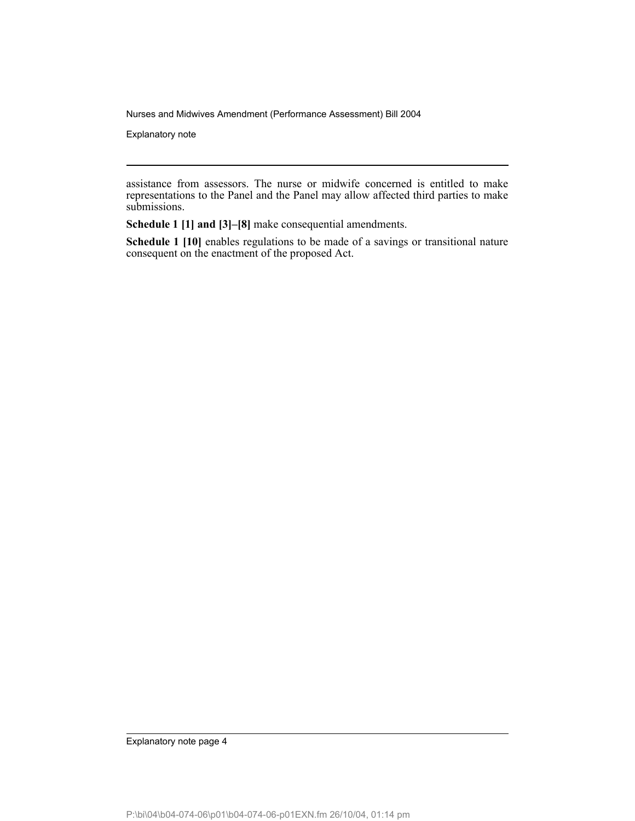Explanatory note

assistance from assessors. The nurse or midwife concerned is entitled to make representations to the Panel and the Panel may allow affected third parties to make submissions.

**Schedule 1 [1] and [3]–[8]** make consequential amendments.

**Schedule 1 [10]** enables regulations to be made of a savings or transitional nature consequent on the enactment of the proposed Act.

Explanatory note page 4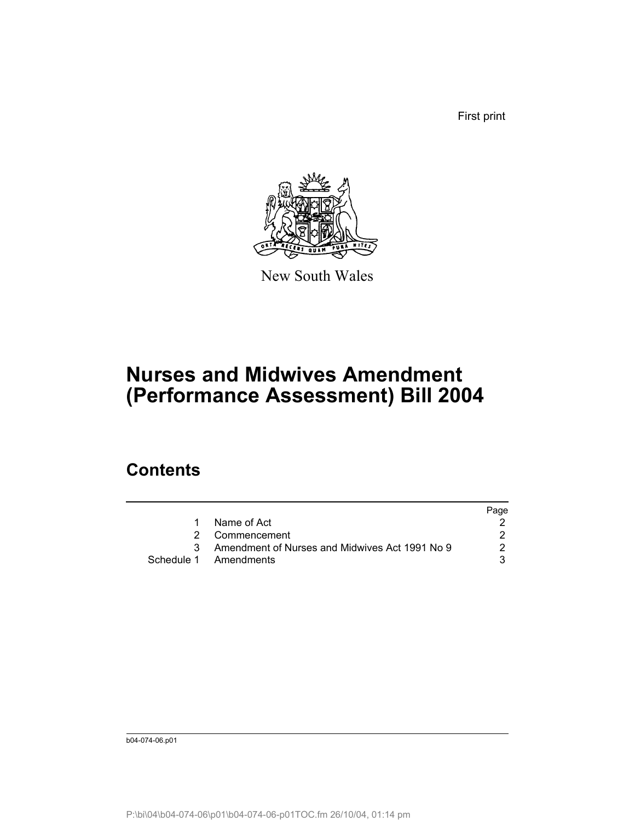First print



New South Wales

# **Nurses and Midwives Amendment (Performance Assessment) Bill 2004**

## **Contents**

|                                                | Page                                    |
|------------------------------------------------|-----------------------------------------|
| Name of Act                                    |                                         |
|                                                |                                         |
| Amendment of Nurses and Midwives Act 1991 No 9 |                                         |
|                                                |                                         |
|                                                | 2 Commencement<br>Schedule 1 Amendments |

b04-074-06.p01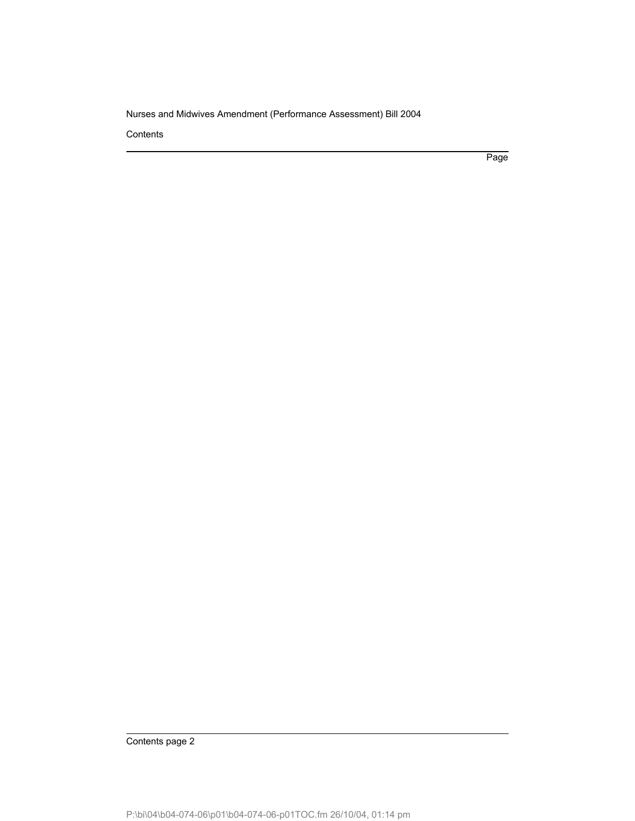**Contents** 

Page

Contents page 2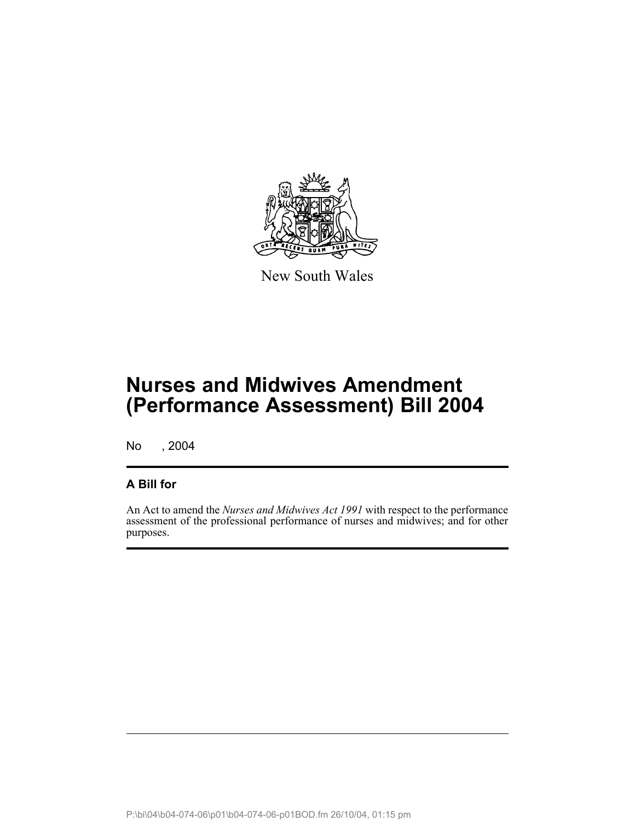

New South Wales

No , 2004

### **A Bill for**

An Act to amend the *Nurses and Midwives Act 1991* with respect to the performance assessment of the professional performance of nurses and midwives; and for other purposes.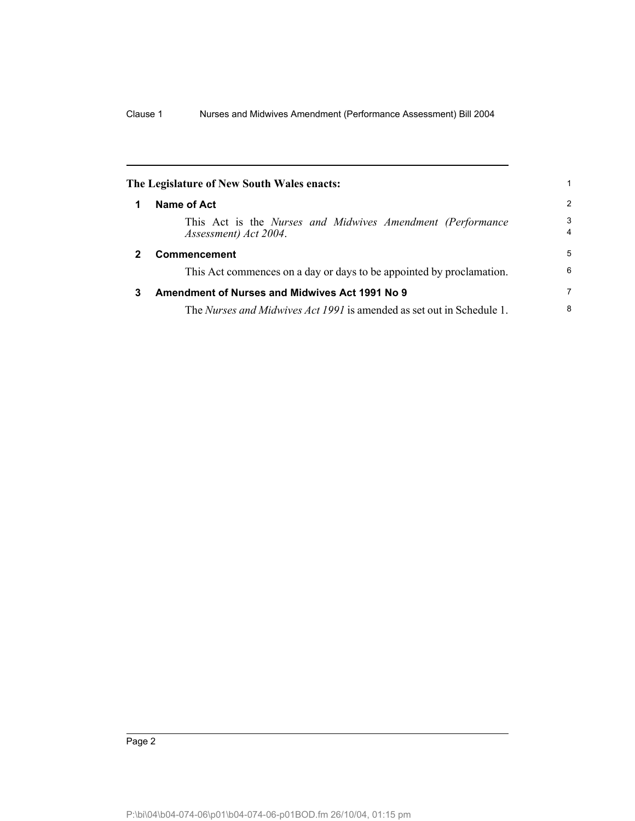<span id="page-7-1"></span><span id="page-7-0"></span>

| The Legislature of New South Wales enacts: |                                                                                     |                     |  |  |
|--------------------------------------------|-------------------------------------------------------------------------------------|---------------------|--|--|
| 1                                          | Name of Act                                                                         | 2                   |  |  |
|                                            | This Act is the Nurses and Midwives Amendment (Performance<br>Assessment) Act 2004. | 3<br>$\overline{4}$ |  |  |
| 2                                          | Commencement                                                                        | 5                   |  |  |
|                                            | This Act commences on a day or days to be appointed by proclamation.                | 6                   |  |  |
| 3                                          | Amendment of Nurses and Midwives Act 1991 No 9                                      | 7                   |  |  |
|                                            | The Nurses and Midwives Act 1991 is amended as set out in Schedule 1.               | 8                   |  |  |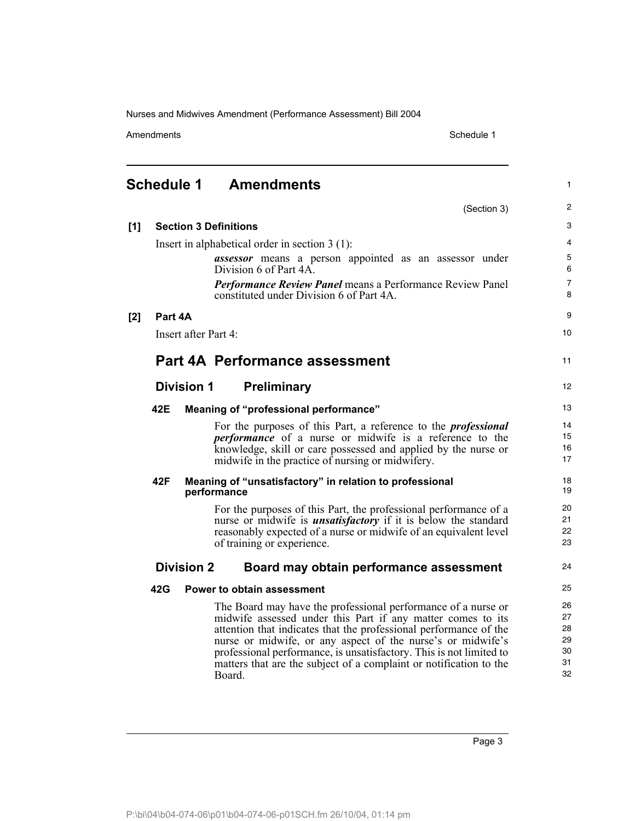Amendments Schedule 1

1

## <span id="page-8-0"></span>**Schedule 1 Amendments**

|     |         | (Section 3)                                                                                                                                                                                                                                                                                                                                                                                                             | $\overline{2}$                         |
|-----|---------|-------------------------------------------------------------------------------------------------------------------------------------------------------------------------------------------------------------------------------------------------------------------------------------------------------------------------------------------------------------------------------------------------------------------------|----------------------------------------|
| [1] |         | <b>Section 3 Definitions</b>                                                                                                                                                                                                                                                                                                                                                                                            | 3                                      |
|     |         | Insert in alphabetical order in section $3(1)$ :                                                                                                                                                                                                                                                                                                                                                                        | 4                                      |
|     |         | <i>assessor</i> means a person appointed as an assessor under<br>Division 6 of Part 4A.                                                                                                                                                                                                                                                                                                                                 | 5<br>6                                 |
|     |         | <b>Performance Review Panel means a Performance Review Panel</b><br>constituted under Division 6 of Part 4A.                                                                                                                                                                                                                                                                                                            | $\overline{7}$<br>8                    |
| [2] | Part 4A |                                                                                                                                                                                                                                                                                                                                                                                                                         | 9                                      |
|     |         | Insert after Part $4$                                                                                                                                                                                                                                                                                                                                                                                                   | 10                                     |
|     |         | <b>Part 4A Performance assessment</b>                                                                                                                                                                                                                                                                                                                                                                                   | 11                                     |
|     |         | <b>Division 1</b><br><b>Preliminary</b>                                                                                                                                                                                                                                                                                                                                                                                 | 12                                     |
|     | 42E     | Meaning of "professional performance"                                                                                                                                                                                                                                                                                                                                                                                   | 13                                     |
|     |         | For the purposes of this Part, a reference to the <i>professional</i><br><i>performance</i> of a nurse or midwife is a reference to the<br>knowledge, skill or care possessed and applied by the nurse or<br>midwife in the practice of nursing or midwifery.                                                                                                                                                           | 14<br>15<br>16<br>17                   |
|     | 42F     | Meaning of "unsatisfactory" in relation to professional<br>performance                                                                                                                                                                                                                                                                                                                                                  | 18<br>19                               |
|     |         | For the purposes of this Part, the professional performance of a<br>nurse or midwife is <i>unsatisfactory</i> if it is below the standard<br>reasonably expected of a nurse or midwife of an equivalent level<br>of training or experience.                                                                                                                                                                             | 20<br>21<br>22<br>23                   |
|     |         | <b>Division 2</b><br>Board may obtain performance assessment                                                                                                                                                                                                                                                                                                                                                            | 24                                     |
|     | 42G     | Power to obtain assessment                                                                                                                                                                                                                                                                                                                                                                                              | 25                                     |
|     |         | The Board may have the professional performance of a nurse or<br>midwife assessed under this Part if any matter comes to its<br>attention that indicates that the professional performance of the<br>nurse or midwife, or any aspect of the nurse's or midwife's<br>professional performance, is unsatisfactory. This is not limited to<br>matters that are the subject of a complaint or notification to the<br>Board. | 26<br>27<br>28<br>29<br>30<br>31<br>32 |

Page 3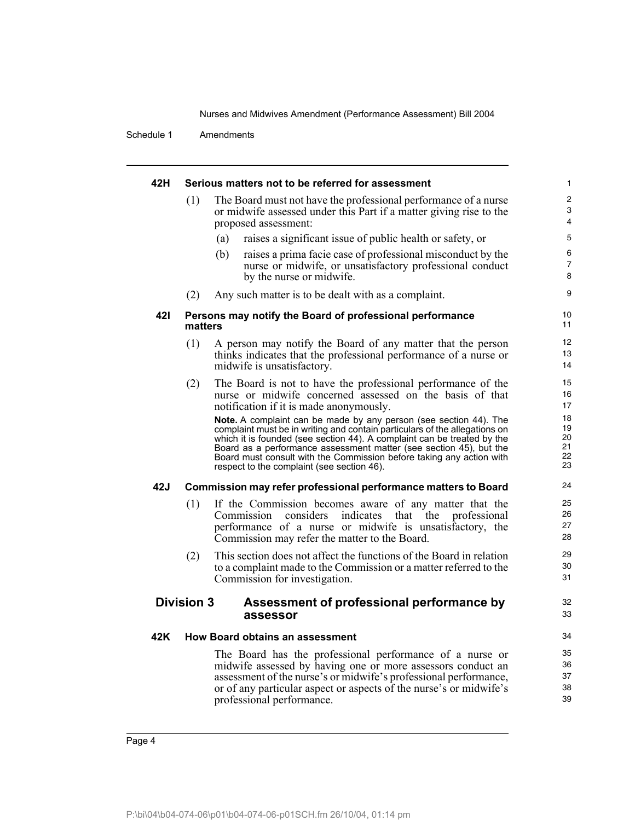| 42H |                   | Serious matters not to be referred for assessment                                                                                                                                                                                                                                                                                                                                                                      | 1                                |
|-----|-------------------|------------------------------------------------------------------------------------------------------------------------------------------------------------------------------------------------------------------------------------------------------------------------------------------------------------------------------------------------------------------------------------------------------------------------|----------------------------------|
|     | (1)               | The Board must not have the professional performance of a nurse<br>or midwife assessed under this Part if a matter giving rise to the<br>proposed assessment:                                                                                                                                                                                                                                                          | $\overline{c}$<br>3<br>4         |
|     |                   | raises a significant issue of public health or safety, or<br>(a)                                                                                                                                                                                                                                                                                                                                                       | 5                                |
|     |                   | raises a prima facie case of professional misconduct by the<br>(b)<br>nurse or midwife, or unsatisfactory professional conduct<br>by the nurse or midwife.                                                                                                                                                                                                                                                             | 6<br>$\overline{7}$<br>8         |
|     | (2)               | Any such matter is to be dealt with as a complaint.                                                                                                                                                                                                                                                                                                                                                                    | 9                                |
| 421 | matters           | Persons may notify the Board of professional performance                                                                                                                                                                                                                                                                                                                                                               | 10<br>11                         |
|     | (1)               | A person may notify the Board of any matter that the person<br>thinks indicates that the professional performance of a nurse or<br>midwife is unsatisfactory.                                                                                                                                                                                                                                                          | 12<br>13<br>14                   |
|     | (2)               | The Board is not to have the professional performance of the<br>nurse or midwife concerned assessed on the basis of that<br>notification if it is made anonymously.                                                                                                                                                                                                                                                    | 15<br>16<br>17                   |
|     |                   | Note. A complaint can be made by any person (see section 44). The<br>complaint must be in writing and contain particulars of the allegations on<br>which it is founded (see section 44). A complaint can be treated by the<br>Board as a performance assessment matter (see section 45), but the<br>Board must consult with the Commission before taking any action with<br>respect to the complaint (see section 46). | 18<br>19<br>20<br>21<br>22<br>23 |
| 42J |                   | Commission may refer professional performance matters to Board                                                                                                                                                                                                                                                                                                                                                         | 24                               |
|     | (1)               | If the Commission becomes aware of any matter that the<br>considers<br>Commission<br>indicates that the professional<br>performance of a nurse or midwife is unsatisfactory, the<br>Commission may refer the matter to the Board.                                                                                                                                                                                      | 25<br>26<br>27<br>28             |
|     | (2)               | This section does not affect the functions of the Board in relation<br>to a complaint made to the Commission or a matter referred to the<br>Commission for investigation.                                                                                                                                                                                                                                              | 29<br>30<br>31                   |
|     | <b>Division 3</b> | Assessment of professional performance by<br>assessor                                                                                                                                                                                                                                                                                                                                                                  | 32<br>33                         |
| 42K |                   | <b>How Board obtains an assessment</b>                                                                                                                                                                                                                                                                                                                                                                                 | 34                               |
|     |                   | The Board has the professional performance of a nurse or<br>midwife assessed by having one or more assessors conduct an<br>assessment of the nurse's or midwife's professional performance,<br>or of any particular aspect or aspects of the nurse's or midwife's<br>professional performance.                                                                                                                         | 35<br>36<br>37<br>38<br>39       |
|     |                   |                                                                                                                                                                                                                                                                                                                                                                                                                        |                                  |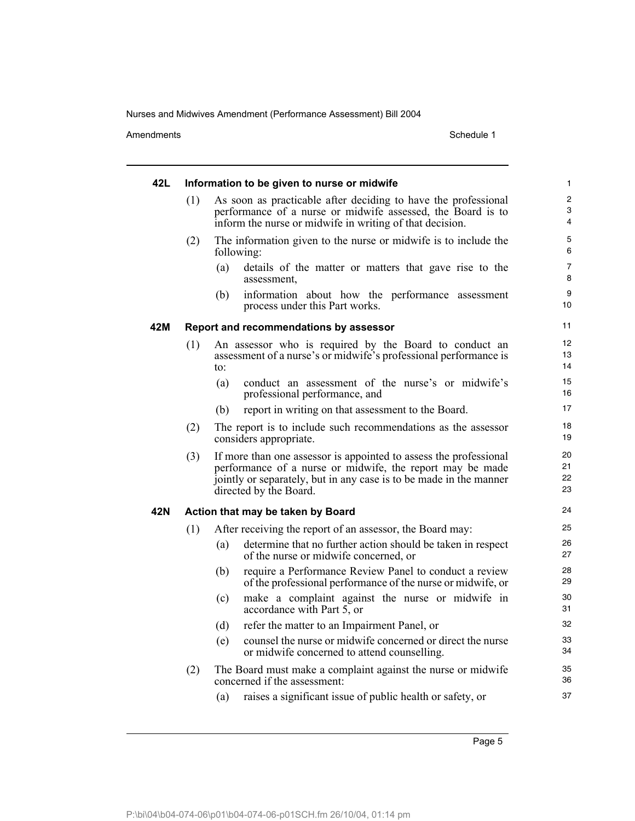Amendments Schedule 1

| 42L |     | Information to be given to nurse or midwife                                                                                                                                                                                    | $\mathbf{1}$                          |
|-----|-----|--------------------------------------------------------------------------------------------------------------------------------------------------------------------------------------------------------------------------------|---------------------------------------|
|     | (1) | As soon as practicable after deciding to have the professional<br>performance of a nurse or midwife assessed, the Board is to<br>inform the nurse or midwife in writing of that decision.                                      | $\overline{c}$<br>3<br>$\overline{4}$ |
|     | (2) | The information given to the nurse or midwife is to include the<br>following:                                                                                                                                                  | 5<br>6                                |
|     |     | (a)<br>details of the matter or matters that gave rise to the<br>assessment.                                                                                                                                                   | $\overline{7}$<br>8                   |
|     |     | (b)<br>information about how the performance assessment<br>process under this Part works.                                                                                                                                      | 9<br>10                               |
| 42M |     | Report and recommendations by assessor                                                                                                                                                                                         | 11                                    |
|     | (1) | An assessor who is required by the Board to conduct an<br>assessment of a nurse's or midwife's professional performance is<br>$\mathsf{to}$ :                                                                                  | 12<br>13<br>14                        |
|     |     | (a)<br>conduct an assessment of the nurse's or midwife's<br>professional performance, and                                                                                                                                      | 15<br>16                              |
|     |     | (b)<br>report in writing on that assessment to the Board.                                                                                                                                                                      | 17                                    |
|     | (2) | The report is to include such recommendations as the assessor<br>considers appropriate.                                                                                                                                        | 18<br>19                              |
|     | (3) | If more than one assessor is appointed to assess the professional<br>performance of a nurse or midwife, the report may be made<br>jointly or separately, but in any case is to be made in the manner<br>directed by the Board. | 20<br>21<br>22<br>23                  |
| 42N |     | Action that may be taken by Board                                                                                                                                                                                              | 24                                    |
|     | (1) | After receiving the report of an assessor, the Board may:                                                                                                                                                                      | 25                                    |
|     |     | determine that no further action should be taken in respect<br>(a)<br>of the nurse or midwife concerned, or                                                                                                                    | 26<br>27                              |
|     |     | require a Performance Review Panel to conduct a review<br>(b)<br>of the professional performance of the nurse or midwife, or                                                                                                   | 28<br>29                              |
|     |     | make a complaint against the nurse or midwife in<br>(c)<br>accordance with Part 5, or                                                                                                                                          | 30<br>31                              |
|     |     | refer the matter to an Impairment Panel, or<br>(d)                                                                                                                                                                             | 32                                    |
|     |     | counsel the nurse or midwife concerned or direct the nurse<br>(e)<br>or midwife concerned to attend counselling.                                                                                                               | 33<br>34                              |
|     | (2) | The Board must make a complaint against the nurse or midwife<br>concerned if the assessment:                                                                                                                                   | 35<br>36                              |
|     |     | raises a significant issue of public health or safety, or<br>(a)                                                                                                                                                               | 37                                    |

Page 5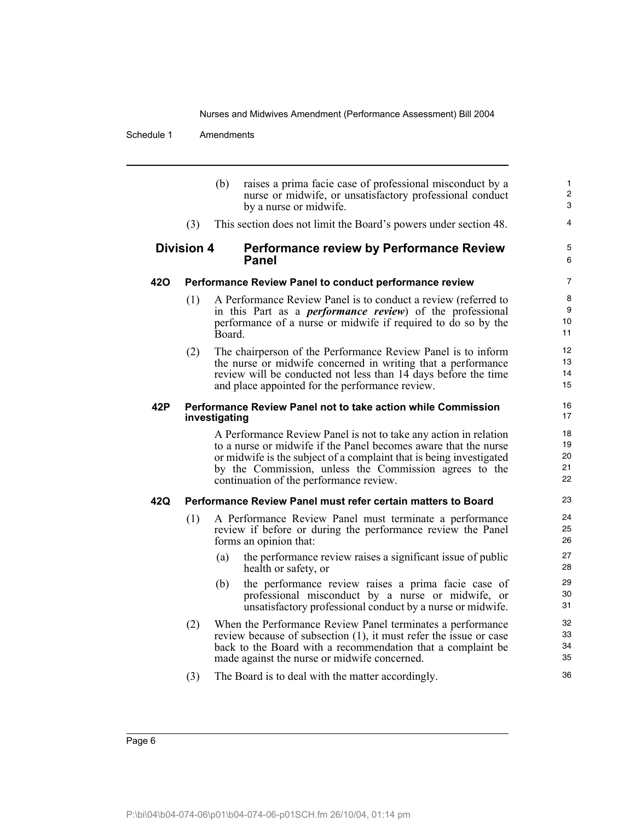|            |                   | (b)           | raises a prima facie case of professional misconduct by a<br>nurse or midwife, or unsatisfactory professional conduct<br>by a nurse or midwife.                                                                                                                                                                 | 1<br>$\overline{\mathbf{c}}$<br>3 |
|------------|-------------------|---------------|-----------------------------------------------------------------------------------------------------------------------------------------------------------------------------------------------------------------------------------------------------------------------------------------------------------------|-----------------------------------|
|            | (3)               |               | This section does not limit the Board's powers under section 48.                                                                                                                                                                                                                                                | 4                                 |
|            | <b>Division 4</b> |               | <b>Performance review by Performance Review</b><br><b>Panel</b>                                                                                                                                                                                                                                                 | 5<br>6                            |
| <b>420</b> |                   |               | Performance Review Panel to conduct performance review                                                                                                                                                                                                                                                          | 7                                 |
|            | (1)               | Board.        | A Performance Review Panel is to conduct a review (referred to<br>in this Part as a <i>performance review</i> ) of the professional<br>performance of a nurse or midwife if required to do so by the                                                                                                            | 8<br>9<br>10<br>11                |
|            | (2)               |               | The chairperson of the Performance Review Panel is to inform<br>the nurse or midwife concerned in writing that a performance<br>review will be conducted not less than 14 days before the time<br>and place appointed for the performance review.                                                               | 12<br>13<br>14<br>15              |
| 42P        |                   | investigating | Performance Review Panel not to take action while Commission                                                                                                                                                                                                                                                    | 16<br>17                          |
|            |                   |               | A Performance Review Panel is not to take any action in relation<br>to a nurse or midwife if the Panel becomes aware that the nurse<br>or midwife is the subject of a complaint that is being investigated<br>by the Commission, unless the Commission agrees to the<br>continuation of the performance review. | 18<br>19<br>20<br>21<br>22        |
| 42Q        |                   |               | Performance Review Panel must refer certain matters to Board                                                                                                                                                                                                                                                    | 23                                |
|            | (1)               |               | A Performance Review Panel must terminate a performance<br>review if before or during the performance review the Panel<br>forms an opinion that:                                                                                                                                                                | 24<br>25<br>26                    |
|            |                   | (a)           | the performance review raises a significant issue of public<br>health or safety, or                                                                                                                                                                                                                             | 27<br>28                          |
|            |                   | (b)           | the performance review raises a prima facie case of<br>professional misconduct by a nurse or midwife, or<br>unsatisfactory professional conduct by a nurse or midwife.                                                                                                                                          | 29<br>30<br>31                    |
|            | (2)               |               | When the Performance Review Panel terminates a performance<br>review because of subsection $(1)$ , it must refer the issue or case<br>back to the Board with a recommendation that a complaint be<br>made against the nurse or midwife concerned.                                                               | 32<br>33<br>34<br>35              |
|            | (3)               |               | The Board is to deal with the matter accordingly.                                                                                                                                                                                                                                                               | 36                                |
|            |                   |               |                                                                                                                                                                                                                                                                                                                 |                                   |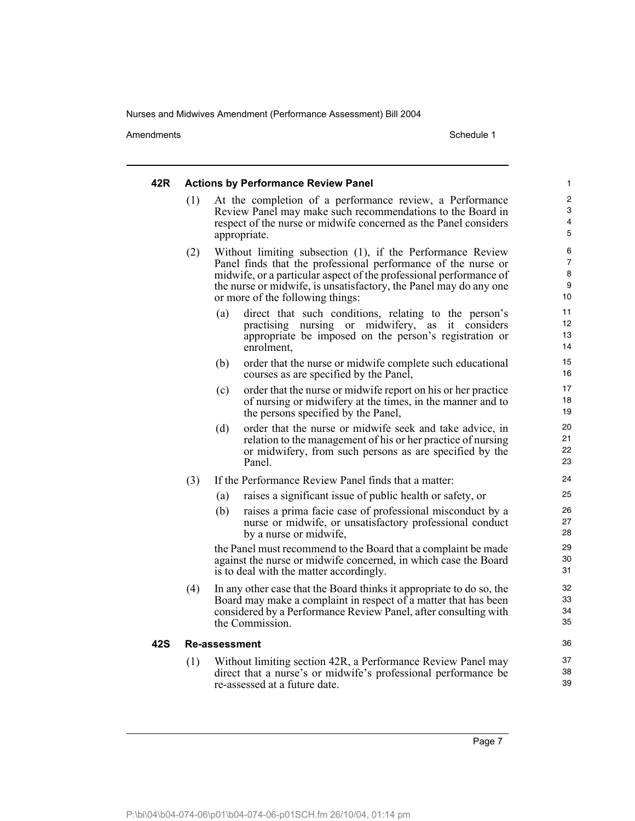Amendments **Amendments** Schedule 1

#### **42R Actions by Performance Review Panel** (1) At the completion of a performance review, a Performance Review Panel may make such recommendations to the Board in respect of the nurse or midwife concerned as the Panel considers appropriate. (2) Without limiting subsection (1), if the Performance Review Panel finds that the professional performance of the nurse or midwife, or a particular aspect of the professional performance of the nurse or midwife, is unsatisfactory, the Panel may do any one or more of the following things: (a) direct that such conditions, relating to the person's practising nursing or midwifery, as it considers appropriate be imposed on the person's registration or enrolment, (b) order that the nurse or midwife complete such educational courses as are specified by the Panel, (c) order that the nurse or midwife report on his or her practice of nursing or midwifery at the times, in the manner and to the persons specified by the Panel, (d) order that the nurse or midwife seek and take advice, in relation to the management of his or her practice of nursing or midwifery, from such persons as are specified by the Panel. (3) If the Performance Review Panel finds that a matter: (a) raises a significant issue of public health or safety, or (b) raises a prima facie case of professional misconduct by a nurse or midwife, or unsatisfactory professional conduct by a nurse or midwife, the Panel must recommend to the Board that a complaint be made against the nurse or midwife concerned, in which case the Board is to deal with the matter accordingly. (4) In any other case that the Board thinks it appropriate to do so, the Board may make a complaint in respect of a matter that has been considered by a Performance Review Panel, after consulting with the Commission. **42S Re-assessment** (1) Without limiting section 42R, a Performance Review Panel may direct that a nurse's or midwife's professional performance be re-assessed at a future date. 1  $\mathfrak{p}$ 3 4 5 6 7 8 9 10 11 12 13 14 15 16 17 18 19 20 21 22 23 24 25 26 27 28 29 30 31 32 33 34 35 36 37 38 39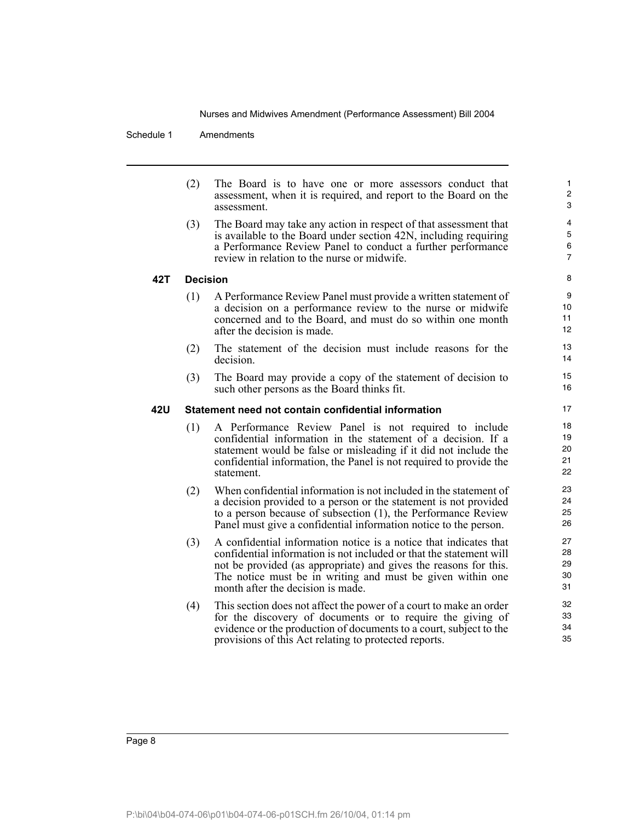Schedule 1 Amendments

(2) The Board is to have one or more assessors conduct that assessment, when it is required, and report to the Board on the assessment.

(3) The Board may take any action in respect of that assessment that is available to the Board under section 42N, including requiring a Performance Review Panel to conduct a further performance review in relation to the nurse or midwife.

#### **42T Decision**

- (1) A Performance Review Panel must provide a written statement of a decision on a performance review to the nurse or midwife concerned and to the Board, and must do so within one month after the decision is made.
- (2) The statement of the decision must include reasons for the decision.
- (3) The Board may provide a copy of the statement of decision to such other persons as the Board thinks fit.

#### **42U Statement need not contain confidential information**

- (1) A Performance Review Panel is not required to include confidential information in the statement of a decision. If a statement would be false or misleading if it did not include the confidential information, the Panel is not required to provide the statement.
- (2) When confidential information is not included in the statement of a decision provided to a person or the statement is not provided to a person because of subsection (1), the Performance Review Panel must give a confidential information notice to the person.
- (3) A confidential information notice is a notice that indicates that confidential information is not included or that the statement will not be provided (as appropriate) and gives the reasons for this. The notice must be in writing and must be given within one month after the decision is made.
- (4) This section does not affect the power of a court to make an order for the discovery of documents or to require the giving of evidence or the production of documents to a court, subject to the provisions of this Act relating to protected reports.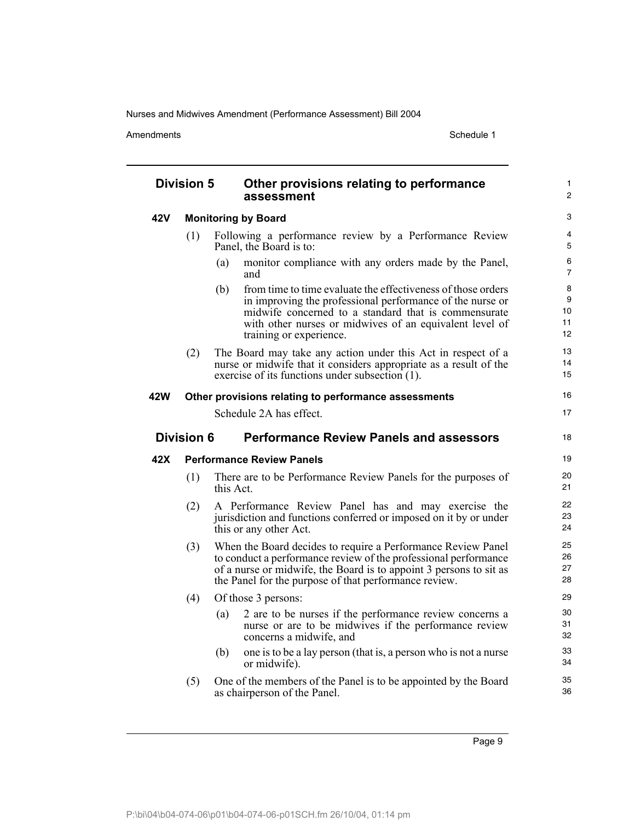Amendments Schedule 1

| <b>Division 5</b> |                   | Other provisions relating to performance<br>assessment                                                                                                                                                                                                         |                      |
|-------------------|-------------------|----------------------------------------------------------------------------------------------------------------------------------------------------------------------------------------------------------------------------------------------------------------|----------------------|
| 42V               |                   | <b>Monitoring by Board</b>                                                                                                                                                                                                                                     | 3                    |
|                   | (1)               | Following a performance review by a Performance Review<br>Panel, the Board is to:                                                                                                                                                                              | 4<br>5               |
|                   |                   | (a)<br>monitor compliance with any orders made by the Panel,<br>and                                                                                                                                                                                            | 6<br>7               |
|                   |                   | from time to time evaluate the effectiveness of those orders<br>(b)<br>in improving the professional performance of the nurse or                                                                                                                               | 8<br>9               |
|                   |                   | midwife concerned to a standard that is commensurate                                                                                                                                                                                                           | 10<br>11             |
|                   |                   | with other nurses or midwives of an equivalent level of<br>training or experience.                                                                                                                                                                             | 12                   |
|                   | (2)               | The Board may take any action under this Act in respect of a                                                                                                                                                                                                   | 13                   |
|                   |                   | nurse or midwife that it considers appropriate as a result of the<br>exercise of its functions under subsection (1).                                                                                                                                           | 14<br>15             |
| 42W               |                   | Other provisions relating to performance assessments                                                                                                                                                                                                           | 16                   |
|                   |                   | Schedule 2A has effect.                                                                                                                                                                                                                                        | 17                   |
|                   |                   |                                                                                                                                                                                                                                                                |                      |
|                   | <b>Division 6</b> | <b>Performance Review Panels and assessors</b>                                                                                                                                                                                                                 | 18                   |
| 42X               |                   | <b>Performance Review Panels</b>                                                                                                                                                                                                                               | 19                   |
|                   | (1)               | There are to be Performance Review Panels for the purposes of<br>this Act.                                                                                                                                                                                     | 20<br>21             |
|                   | (2)               | A Performance Review Panel has and may exercise the<br>jurisdiction and functions conferred or imposed on it by or under<br>this or any other Act.                                                                                                             | 22<br>23<br>24       |
|                   | (3)               | When the Board decides to require a Performance Review Panel<br>to conduct a performance review of the professional performance<br>of a nurse or midwife, the Board is to appoint 3 persons to sit as<br>the Panel for the purpose of that performance review. | 25<br>26<br>27<br>28 |
|                   | (4)               | Of those 3 persons:                                                                                                                                                                                                                                            | 29                   |
|                   |                   | 2 are to be nurses if the performance review concerns a<br>(a)<br>nurse or are to be midwives if the performance review<br>concerns a midwife, and                                                                                                             | 30<br>31<br>32       |
|                   |                   | one is to be a lay person (that is, a person who is not a nurse<br>(b)<br>or midwife).                                                                                                                                                                         | 33<br>34             |
|                   | (5)               | One of the members of the Panel is to be appointed by the Board<br>as chairperson of the Panel.                                                                                                                                                                | 35<br>36             |

Page 9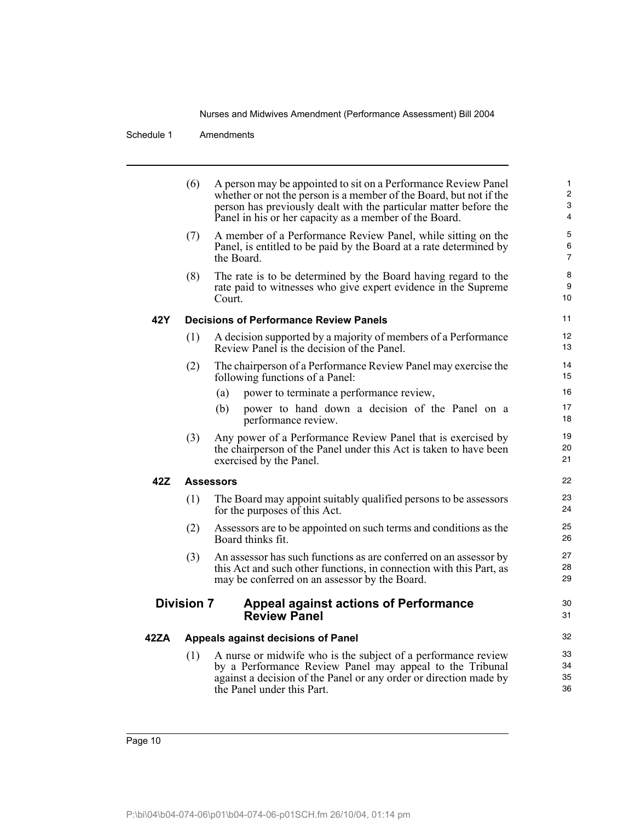|      | (6)               | A person may be appointed to sit on a Performance Review Panel<br>whether or not the person is a member of the Board, but not if the<br>person has previously dealt with the particular matter before the<br>Panel in his or her capacity as a member of the Board. | $\mathbf{1}$<br>$\overline{2}$<br>3<br>4 |
|------|-------------------|---------------------------------------------------------------------------------------------------------------------------------------------------------------------------------------------------------------------------------------------------------------------|------------------------------------------|
|      | (7)               | A member of a Performance Review Panel, while sitting on the<br>Panel, is entitled to be paid by the Board at a rate determined by<br>the Board.                                                                                                                    | 5<br>6<br>$\overline{7}$                 |
|      | (8)               | The rate is to be determined by the Board having regard to the<br>rate paid to witnesses who give expert evidence in the Supreme<br>Court.                                                                                                                          | 8<br>9<br>10                             |
| 42Y  |                   | <b>Decisions of Performance Review Panels</b>                                                                                                                                                                                                                       | 11                                       |
|      | (1)               | A decision supported by a majority of members of a Performance<br>Review Panel is the decision of the Panel.                                                                                                                                                        | 12<br>13                                 |
|      | (2)               | The chairperson of a Performance Review Panel may exercise the<br>following functions of a Panel:                                                                                                                                                                   | 14<br>15                                 |
|      |                   | power to terminate a performance review,<br>(a)                                                                                                                                                                                                                     | 16                                       |
|      |                   | (b)<br>power to hand down a decision of the Panel on a<br>performance review.                                                                                                                                                                                       | 17<br>18                                 |
|      | (3)               | Any power of a Performance Review Panel that is exercised by<br>the chairperson of the Panel under this Act is taken to have been<br>exercised by the Panel.                                                                                                        | 19<br>20<br>21                           |
| 42Z  |                   | <b>Assessors</b>                                                                                                                                                                                                                                                    | 22                                       |
|      | (1)               | The Board may appoint suitably qualified persons to be assessors<br>for the purposes of this Act.                                                                                                                                                                   | 23<br>24                                 |
|      | (2)               | Assessors are to be appointed on such terms and conditions as the<br>Board thinks fit.                                                                                                                                                                              | 25<br>26                                 |
|      | (3)               | An assessor has such functions as are conferred on an assessor by<br>this Act and such other functions, in connection with this Part, as<br>may be conferred on an assessor by the Board.                                                                           | 27<br>28<br>29                           |
|      | <b>Division 7</b> | <b>Appeal against actions of Performance</b><br><b>Review Panel</b>                                                                                                                                                                                                 | 30<br>31                                 |
| 42ZA |                   | <b>Appeals against decisions of Panel</b>                                                                                                                                                                                                                           | 32                                       |
|      | (1)               | A nurse or midwife who is the subject of a performance review<br>by a Performance Review Panel may appeal to the Tribunal<br>against a decision of the Panel or any order or direction made by<br>the Panel under this Part.                                        | 33<br>34<br>35<br>36                     |
|      |                   |                                                                                                                                                                                                                                                                     |                                          |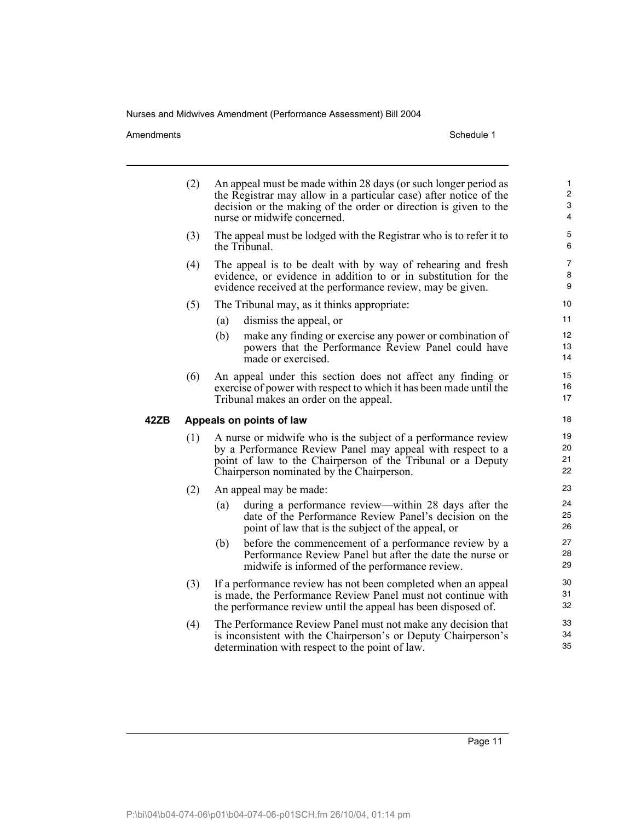Amendments Schedule 1

|      | (2)                      | An appeal must be made within 28 days (or such longer period as<br>the Registrar may allow in a particular case) after notice of the<br>decision or the making of the order or direction is given to the<br>nurse or midwife concerned. | 1<br>$\overline{c}$<br>3<br>4 |  |  |  |  |
|------|--------------------------|-----------------------------------------------------------------------------------------------------------------------------------------------------------------------------------------------------------------------------------------|-------------------------------|--|--|--|--|
|      | (3)                      | The appeal must be lodged with the Registrar who is to refer it to<br>the Tribunal.                                                                                                                                                     | 5<br>6                        |  |  |  |  |
|      | (4)                      | The appeal is to be dealt with by way of rehearing and fresh<br>evidence, or evidence in addition to or in substitution for the<br>evidence received at the performance review, may be given.                                           | 7<br>8<br>9                   |  |  |  |  |
|      | (5)                      | The Tribunal may, as it thinks appropriate:                                                                                                                                                                                             | 10                            |  |  |  |  |
|      |                          | dismiss the appeal, or<br>(a)                                                                                                                                                                                                           | 11                            |  |  |  |  |
|      |                          | (b)<br>make any finding or exercise any power or combination of<br>powers that the Performance Review Panel could have<br>made or exercised.                                                                                            | 12<br>13<br>14                |  |  |  |  |
|      | (6)                      | An appeal under this section does not affect any finding or<br>exercise of power with respect to which it has been made until the<br>Tribunal makes an order on the appeal.                                                             | 15<br>16<br>17                |  |  |  |  |
| 42ZB | Appeals on points of law |                                                                                                                                                                                                                                         |                               |  |  |  |  |
|      | (1)                      | A nurse or midwife who is the subject of a performance review<br>by a Performance Review Panel may appeal with respect to a<br>point of law to the Chairperson of the Tribunal or a Deputy<br>Chairperson nominated by the Chairperson. | 19<br>20<br>21<br>22          |  |  |  |  |
|      | (2)                      | An appeal may be made:                                                                                                                                                                                                                  | 23                            |  |  |  |  |
|      |                          | during a performance review—within 28 days after the<br>(a)<br>date of the Performance Review Panel's decision on the<br>point of law that is the subject of the appeal, or                                                             | 24<br>25<br>26                |  |  |  |  |
|      |                          | before the commencement of a performance review by a<br>(b)<br>Performance Review Panel but after the date the nurse or<br>midwife is informed of the performance review.                                                               | 27<br>28<br>29                |  |  |  |  |
|      | (3)                      | If a performance review has not been completed when an appeal<br>is made, the Performance Review Panel must not continue with<br>the performance review until the appeal has been disposed of.                                          | 30<br>31<br>32                |  |  |  |  |
|      | (4)                      | The Performance Review Panel must not make any decision that<br>is inconsistent with the Chairperson's or Deputy Chairperson's<br>determination with respect to the point of law.                                                       | 33<br>34<br>35                |  |  |  |  |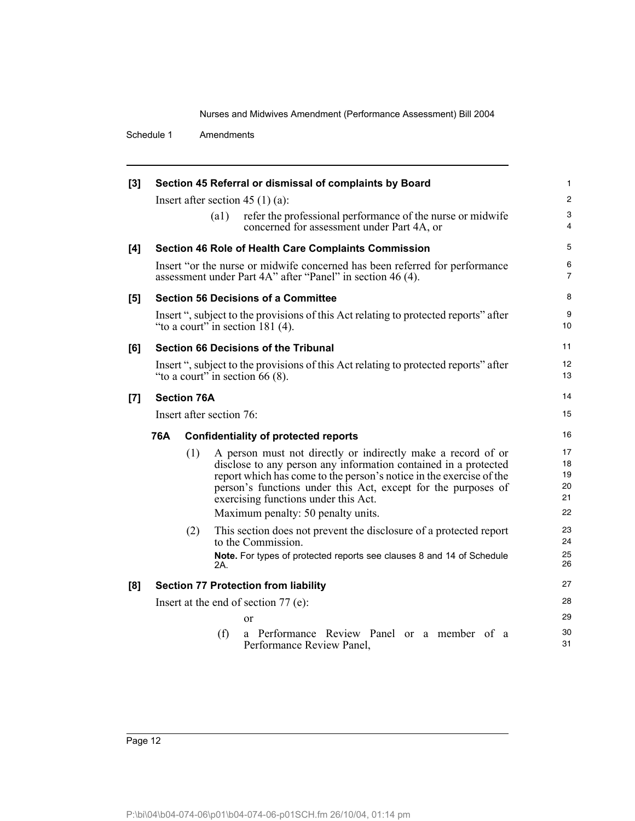| [3] |     |                          |                    | Section 45 Referral or dismissal of complaints by Board                                                                                                                                                                                                                                                                                               | 1                                |
|-----|-----|--------------------------|--------------------|-------------------------------------------------------------------------------------------------------------------------------------------------------------------------------------------------------------------------------------------------------------------------------------------------------------------------------------------------------|----------------------------------|
|     |     |                          |                    | Insert after section 45 $(1)$ (a):                                                                                                                                                                                                                                                                                                                    | $\overline{c}$                   |
|     |     |                          | $\left( a1\right)$ | refer the professional performance of the nurse or midwife<br>concerned for assessment under Part 4A, or                                                                                                                                                                                                                                              | 3<br>4                           |
| [4] |     |                          |                    | <b>Section 46 Role of Health Care Complaints Commission</b>                                                                                                                                                                                                                                                                                           | 5                                |
|     |     |                          |                    | Insert "or the nurse or midwife concerned has been referred for performance<br>assessment under Part 4A" after "Panel" in section 46 (4).                                                                                                                                                                                                             | 6<br>$\overline{7}$              |
| [5] |     |                          |                    | <b>Section 56 Decisions of a Committee</b>                                                                                                                                                                                                                                                                                                            | 8                                |
|     |     |                          |                    | Insert ", subject to the provisions of this Act relating to protected reports" after<br>"to a court" in section $181(4)$ .                                                                                                                                                                                                                            | 9<br>10                          |
| [6] |     |                          |                    | <b>Section 66 Decisions of the Tribunal</b>                                                                                                                                                                                                                                                                                                           | 11                               |
|     |     |                          |                    | Insert ", subject to the provisions of this Act relating to protected reports" after<br>"to a court" in section $66(8)$ .                                                                                                                                                                                                                             | 12<br>13                         |
| [7] |     | <b>Section 76A</b>       |                    |                                                                                                                                                                                                                                                                                                                                                       | 14                               |
|     |     | Insert after section 76: |                    |                                                                                                                                                                                                                                                                                                                                                       | 15                               |
|     | 76A |                          |                    | <b>Confidentiality of protected reports</b>                                                                                                                                                                                                                                                                                                           | 16                               |
|     |     | (1)                      |                    | A person must not directly or indirectly make a record of or<br>disclose to any person any information contained in a protected<br>report which has come to the person's notice in the exercise of the<br>person's functions under this Act, except for the purposes of<br>exercising functions under this Act.<br>Maximum penalty: 50 penalty units. | 17<br>18<br>19<br>20<br>21<br>22 |
|     |     | (2)                      | 2A.                | This section does not prevent the disclosure of a protected report<br>to the Commission.<br>Note. For types of protected reports see clauses 8 and 14 of Schedule                                                                                                                                                                                     | 23<br>24<br>25<br>26             |
| [8] |     |                          |                    | <b>Section 77 Protection from liability</b>                                                                                                                                                                                                                                                                                                           | 27                               |
|     |     |                          |                    | Insert at the end of section $77$ (e):                                                                                                                                                                                                                                                                                                                | 28                               |
|     |     |                          |                    | <sub>or</sub>                                                                                                                                                                                                                                                                                                                                         | 29                               |
|     |     |                          | (f)                | a Performance Review Panel or a member of a<br>Performance Review Panel,                                                                                                                                                                                                                                                                              | 30<br>31                         |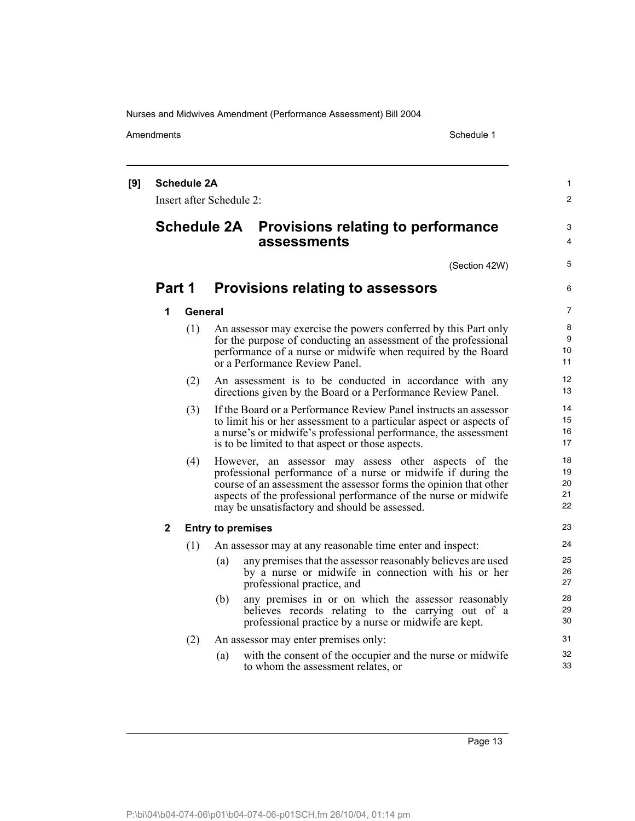Amendments Schedule 1

| [9] |              | <b>Schedule 2A</b> | Insert after Schedule 2: |                                                                                                                                                                    | $\mathbf{1}$<br>2 |
|-----|--------------|--------------------|--------------------------|--------------------------------------------------------------------------------------------------------------------------------------------------------------------|-------------------|
|     |              |                    |                          |                                                                                                                                                                    |                   |
|     |              |                    | <b>Schedule 2A</b>       | <b>Provisions relating to performance</b>                                                                                                                          | 3                 |
|     |              |                    |                          | assessments                                                                                                                                                        | 4                 |
|     |              |                    |                          | (Section 42W)                                                                                                                                                      | 5                 |
|     | Part 1       |                    |                          | <b>Provisions relating to assessors</b>                                                                                                                            | 6                 |
|     | 1            | General            |                          |                                                                                                                                                                    | 7                 |
|     |              | (1)                |                          | An assessor may exercise the powers conferred by this Part only                                                                                                    | 8                 |
|     |              |                    |                          | for the purpose of conducting an assessment of the professional                                                                                                    | 9                 |
|     |              |                    |                          | performance of a nurse or midwife when required by the Board                                                                                                       | 10                |
|     |              |                    |                          | or a Performance Review Panel.                                                                                                                                     | 11                |
|     |              | (2)                |                          | An assessment is to be conducted in accordance with any                                                                                                            | 12                |
|     |              |                    |                          | directions given by the Board or a Performance Review Panel.                                                                                                       | 13                |
|     |              | (3)                |                          | If the Board or a Performance Review Panel instructs an assessor                                                                                                   | 14                |
|     |              |                    |                          | to limit his or her assessment to a particular aspect or aspects of                                                                                                | 15                |
|     |              |                    |                          | a nurse's or midwife's professional performance, the assessment                                                                                                    | 16                |
|     |              |                    |                          | is to be limited to that aspect or those aspects.                                                                                                                  | 17                |
|     |              | (4)                |                          | However, an assessor may assess other aspects of the                                                                                                               | 18                |
|     |              |                    |                          | professional performance of a nurse or midwife if during the                                                                                                       | 19                |
|     |              |                    |                          | course of an assessment the assessor forms the opinion that other                                                                                                  | 20<br>21          |
|     |              |                    |                          | aspects of the professional performance of the nurse or midwife<br>may be unsatisfactory and should be assessed.                                                   | 22                |
|     |              |                    |                          |                                                                                                                                                                    |                   |
|     | $\mathbf{2}$ |                    | <b>Entry to premises</b> |                                                                                                                                                                    | 23                |
|     |              | (1)                |                          | An assessor may at any reasonable time enter and inspect:                                                                                                          | 24                |
|     |              |                    | (a)                      | any premises that the assessor reasonably believes are used<br>by a nurse or midwife in connection with his or her<br>professional practice, and                   | 25<br>26<br>27    |
|     |              |                    | (b)                      | any premises in or on which the assessor reasonably<br>believes records relating to the carrying out of a<br>professional practice by a nurse or midwife are kept. | 28<br>29<br>30    |
|     |              | (2)                |                          | An assessor may enter premises only:                                                                                                                               | 31                |
|     |              |                    | (a)                      | with the consent of the occupier and the nurse or midwife<br>to whom the assessment relates, or                                                                    | 32<br>33          |
|     |              |                    |                          |                                                                                                                                                                    |                   |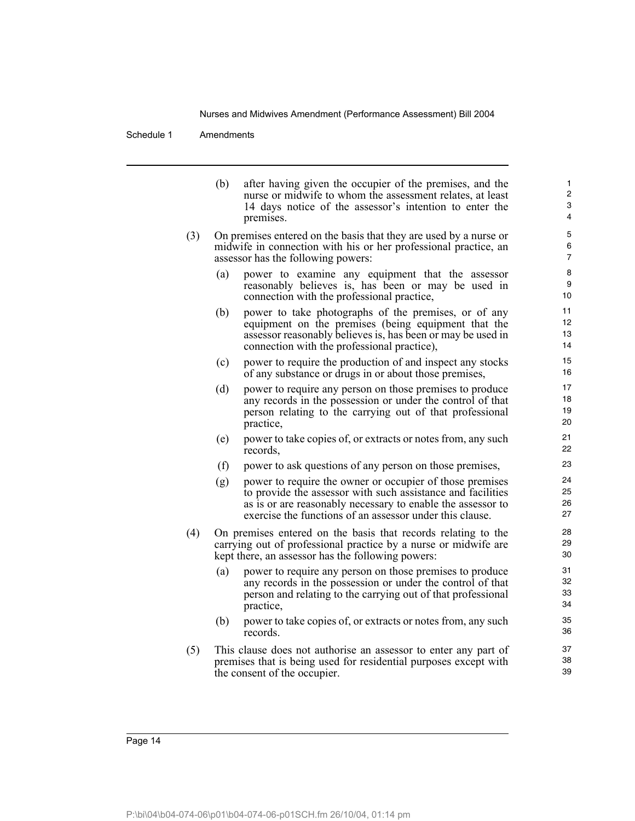|     | (b) | after having given the occupier of the premises, and the<br>nurse or midwife to whom the assessment relates, at least<br>14 days notice of the assessor's intention to enter the<br>premises.                                                      | 1<br>$\overline{2}$<br>3<br>$\overline{4}$ |
|-----|-----|----------------------------------------------------------------------------------------------------------------------------------------------------------------------------------------------------------------------------------------------------|--------------------------------------------|
| (3) |     | On premises entered on the basis that they are used by a nurse or<br>midwife in connection with his or her professional practice, an<br>assessor has the following powers:                                                                         | 5<br>6<br>$\overline{7}$                   |
|     | (a) | power to examine any equipment that the assessor<br>reasonably believes is, has been or may be used in<br>connection with the professional practice,                                                                                               | 8<br>9<br>10                               |
|     | (b) | power to take photographs of the premises, or of any<br>equipment on the premises (being equipment that the<br>assessor reasonably believes is, has been or may be used in<br>connection with the professional practice),                          | 11<br>12<br>13<br>14                       |
|     | (c) | power to require the production of and inspect any stocks<br>of any substance or drugs in or about those premises,                                                                                                                                 | 15<br>16                                   |
|     | (d) | power to require any person on those premises to produce<br>any records in the possession or under the control of that<br>person relating to the carrying out of that professional<br>practice,                                                    | 17<br>18<br>19<br>20                       |
|     | (e) | power to take copies of, or extracts or notes from, any such<br>records.                                                                                                                                                                           | 21<br>22                                   |
|     | (f) | power to ask questions of any person on those premises,                                                                                                                                                                                            | 23                                         |
|     | (g) | power to require the owner or occupier of those premises<br>to provide the assessor with such assistance and facilities<br>as is or are reasonably necessary to enable the assessor to<br>exercise the functions of an assessor under this clause. | 24<br>25<br>26<br>27                       |
| (4) |     | On premises entered on the basis that records relating to the<br>carrying out of professional practice by a nurse or midwife are<br>kept there, an assessor has the following powers:                                                              | 28<br>29<br>30                             |
|     | (a) | power to require any person on those premises to produce<br>any records in the possession or under the control of that<br>person and relating to the carrying out of that professional<br>practice,                                                | 31<br>32<br>33<br>34                       |
|     | (b) | power to take copies of, or extracts or notes from, any such<br>records.                                                                                                                                                                           | 35<br>36                                   |
| (5) |     | This clause does not authorise an assessor to enter any part of<br>premises that is being used for residential purposes except with<br>the consent of the occupier.                                                                                | 37<br>38<br>39                             |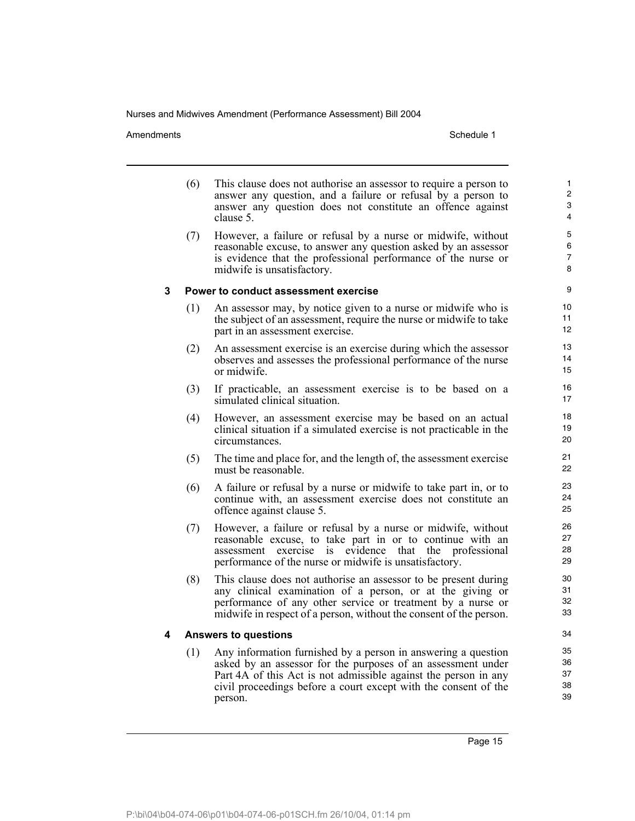Amendments **Amendments** Schedule 1

- (6) This clause does not authorise an assessor to require a person to answer any question, and a failure or refusal by a person to answer any question does not constitute an offence against clause 5.
- (7) However, a failure or refusal by a nurse or midwife, without reasonable excuse, to answer any question asked by an assessor is evidence that the professional performance of the nurse or midwife is unsatisfactory.

#### **3 Power to conduct assessment exercise**

- (1) An assessor may, by notice given to a nurse or midwife who is the subject of an assessment, require the nurse or midwife to take part in an assessment exercise.
- (2) An assessment exercise is an exercise during which the assessor observes and assesses the professional performance of the nurse or midwife.
- (3) If practicable, an assessment exercise is to be based on a simulated clinical situation.
- (4) However, an assessment exercise may be based on an actual clinical situation if a simulated exercise is not practicable in the circumstances.
- (5) The time and place for, and the length of, the assessment exercise must be reasonable.
- (6) A failure or refusal by a nurse or midwife to take part in, or to continue with, an assessment exercise does not constitute an offence against clause 5.
- (7) However, a failure or refusal by a nurse or midwife, without reasonable excuse, to take part in or to continue with an assessment exercise is evidence that the professional performance of the nurse or midwife is unsatisfactory.
- (8) This clause does not authorise an assessor to be present during any clinical examination of a person, or at the giving or performance of any other service or treatment by a nurse or midwife in respect of a person, without the consent of the person.

#### **4 Answers to questions**

(1) Any information furnished by a person in answering a question asked by an assessor for the purposes of an assessment under Part 4A of this Act is not admissible against the person in any civil proceedings before a court except with the consent of the person.

Page 15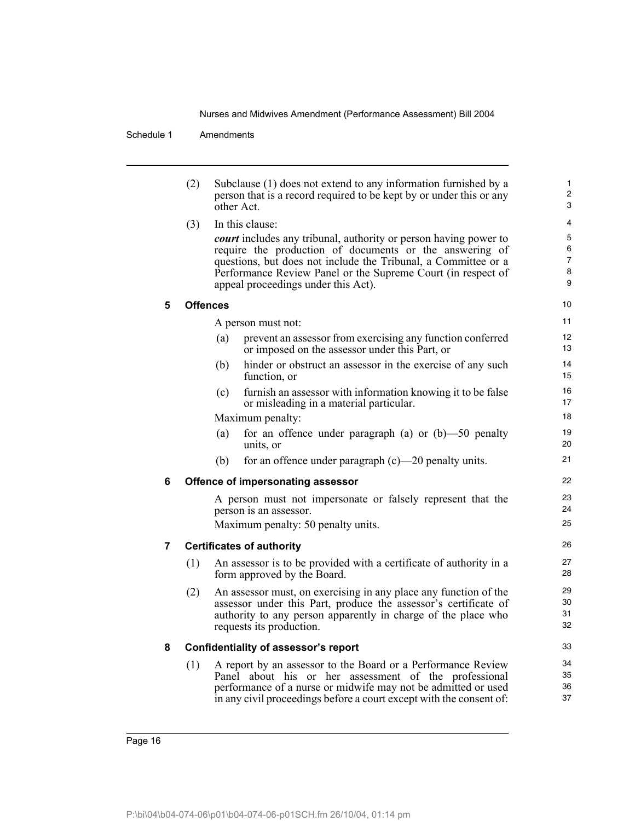|   | (2)                                         | Subclause (1) does not extend to any information furnished by a<br>person that is a record required to be kept by or under this or any<br>other Act. |                                                                                                                                                                                                                                                                                                             | $\mathbf{1}$<br>$\mathbf{2}$<br>3  |
|---|---------------------------------------------|------------------------------------------------------------------------------------------------------------------------------------------------------|-------------------------------------------------------------------------------------------------------------------------------------------------------------------------------------------------------------------------------------------------------------------------------------------------------------|------------------------------------|
|   | (3)                                         |                                                                                                                                                      | In this clause:                                                                                                                                                                                                                                                                                             | 4                                  |
|   |                                             |                                                                                                                                                      | <i>court</i> includes any tribunal, authority or person having power to<br>require the production of documents or the answering of<br>questions, but does not include the Tribunal, a Committee or a<br>Performance Review Panel or the Supreme Court (in respect of<br>appeal proceedings under this Act). | 5<br>6<br>$\overline{7}$<br>8<br>9 |
| 5 |                                             | <b>Offences</b>                                                                                                                                      |                                                                                                                                                                                                                                                                                                             | 10 <sup>1</sup>                    |
|   | A person must not:                          |                                                                                                                                                      |                                                                                                                                                                                                                                                                                                             | 11                                 |
|   |                                             | (a)                                                                                                                                                  | prevent an assessor from exercising any function conferred<br>or imposed on the assessor under this Part, or                                                                                                                                                                                                | 12 <sup>°</sup><br>13              |
|   |                                             | (b)                                                                                                                                                  | hinder or obstruct an assessor in the exercise of any such<br>function, or                                                                                                                                                                                                                                  | 14<br>15                           |
|   |                                             | (c)                                                                                                                                                  | furnish an assessor with information knowing it to be false<br>or misleading in a material particular.                                                                                                                                                                                                      | 16<br>17                           |
|   |                                             |                                                                                                                                                      | Maximum penalty:                                                                                                                                                                                                                                                                                            | 18                                 |
|   |                                             | (a)                                                                                                                                                  | for an offence under paragraph (a) or $(b)$ —50 penalty<br>units, or                                                                                                                                                                                                                                        | 19<br>20                           |
|   |                                             | (b)                                                                                                                                                  | for an offence under paragraph $(c)$ —20 penalty units.                                                                                                                                                                                                                                                     | 21                                 |
| 6 |                                             |                                                                                                                                                      | Offence of impersonating assessor                                                                                                                                                                                                                                                                           | 22                                 |
|   |                                             |                                                                                                                                                      | A person must not impersonate or falsely represent that the<br>person is an assessor.                                                                                                                                                                                                                       | 23<br>24                           |
|   |                                             |                                                                                                                                                      | Maximum penalty: 50 penalty units.                                                                                                                                                                                                                                                                          | 25                                 |
| 7 | <b>Certificates of authority</b>            |                                                                                                                                                      |                                                                                                                                                                                                                                                                                                             | 26                                 |
|   | (1)                                         |                                                                                                                                                      | An assessor is to be provided with a certificate of authority in a<br>form approved by the Board.                                                                                                                                                                                                           | 27<br>28                           |
|   | (2)                                         |                                                                                                                                                      | An assessor must, on exercising in any place any function of the<br>assessor under this Part, produce the assessor's certificate of<br>authority to any person apparently in charge of the place who<br>requests its production.                                                                            | 29<br>30<br>31<br>32               |
| 8 | <b>Confidentiality of assessor's report</b> |                                                                                                                                                      |                                                                                                                                                                                                                                                                                                             | 33                                 |
|   | (1)                                         |                                                                                                                                                      | A report by an assessor to the Board or a Performance Review<br>Panel about his or her assessment of the professional<br>performance of a nurse or midwife may not be admitted or used<br>in any civil proceedings before a court except with the consent of:                                               | 34<br>35<br>36<br>37               |
|   |                                             |                                                                                                                                                      |                                                                                                                                                                                                                                                                                                             |                                    |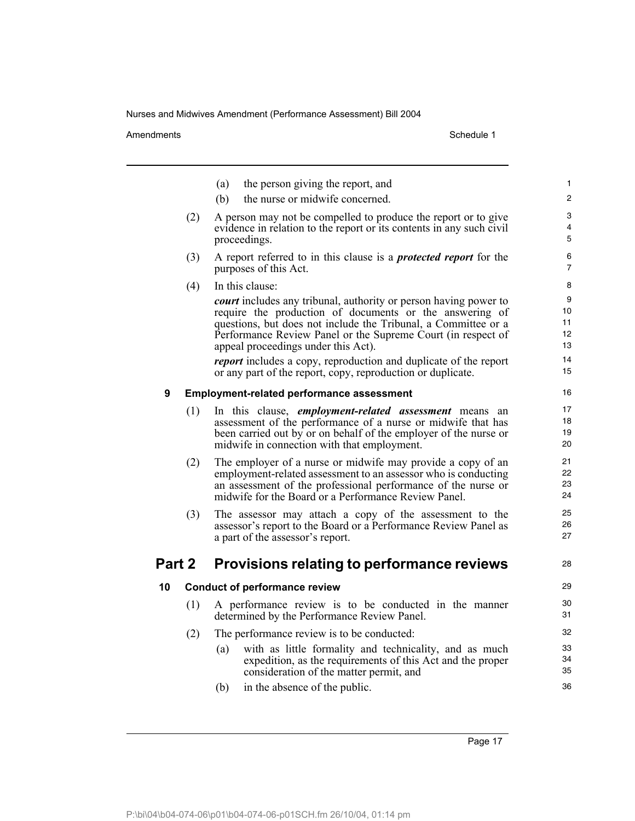| Amendments |     | Schedule 1                                                                                                                                                                                                                                                                                                                                                                             |                                 |
|------------|-----|----------------------------------------------------------------------------------------------------------------------------------------------------------------------------------------------------------------------------------------------------------------------------------------------------------------------------------------------------------------------------------------|---------------------------------|
|            |     | (a)<br>the person giving the report, and<br>(b)<br>the nurse or midwife concerned.                                                                                                                                                                                                                                                                                                     | 1<br>2                          |
|            | (2) | A person may not be compelled to produce the report or to give<br>evidence in relation to the report or its contents in any such civil<br>proceedings.                                                                                                                                                                                                                                 | 3<br>$\overline{4}$<br>5        |
|            | (3) | A report referred to in this clause is a <i>protected report</i> for the<br>purposes of this Act.                                                                                                                                                                                                                                                                                      | 6<br>$\overline{7}$             |
|            | (4) | In this clause:                                                                                                                                                                                                                                                                                                                                                                        | 8                               |
|            |     | <i>court</i> includes any tribunal, authority or person having power to<br>require the production of documents or the answering of<br>questions, but does not include the Tribunal, a Committee or a<br>Performance Review Panel or the Supreme Court (in respect of<br>appeal proceedings under this Act).<br><i>report</i> includes a copy, reproduction and duplicate of the report | 9<br>10<br>11<br>12<br>13<br>14 |
|            |     | or any part of the report, copy, reproduction or duplicate.                                                                                                                                                                                                                                                                                                                            | 15                              |
| 9          |     | <b>Employment-related performance assessment</b>                                                                                                                                                                                                                                                                                                                                       | 16                              |
|            | (1) | In this clause, <i>employment-related</i> assessment means an<br>assessment of the performance of a nurse or midwife that has<br>been carried out by or on behalf of the employer of the nurse or<br>midwife in connection with that employment.                                                                                                                                       | 17<br>18<br>19<br>20            |
|            | (2) | The employer of a nurse or midwife may provide a copy of an<br>employment-related assessment to an assessor who is conducting<br>an assessment of the professional performance of the nurse or<br>midwife for the Board or a Performance Review Panel.                                                                                                                                 | 21<br>22<br>23<br>24            |
|            | (3) | The assessor may attach a copy of the assessment to the<br>assessor's report to the Board or a Performance Review Panel as<br>a part of the assessor's report.                                                                                                                                                                                                                         | 25<br>26<br>27                  |
| Part 2     |     | Provisions relating to performance reviews                                                                                                                                                                                                                                                                                                                                             | 28                              |
| 10         |     | <b>Conduct of performance review</b>                                                                                                                                                                                                                                                                                                                                                   | 29                              |
|            | (1) | A performance review is to be conducted in the manner<br>determined by the Performance Review Panel.                                                                                                                                                                                                                                                                                   | 30<br>31                        |
|            | (2) | The performance review is to be conducted:                                                                                                                                                                                                                                                                                                                                             | 32                              |
|            |     | with as little formality and technicality, and as much<br>(a)<br>expedition, as the requirements of this Act and the proper<br>consideration of the matter permit, and                                                                                                                                                                                                                 | 33<br>34<br>35                  |
|            |     | in the absence of the public.<br>(b)                                                                                                                                                                                                                                                                                                                                                   | 36                              |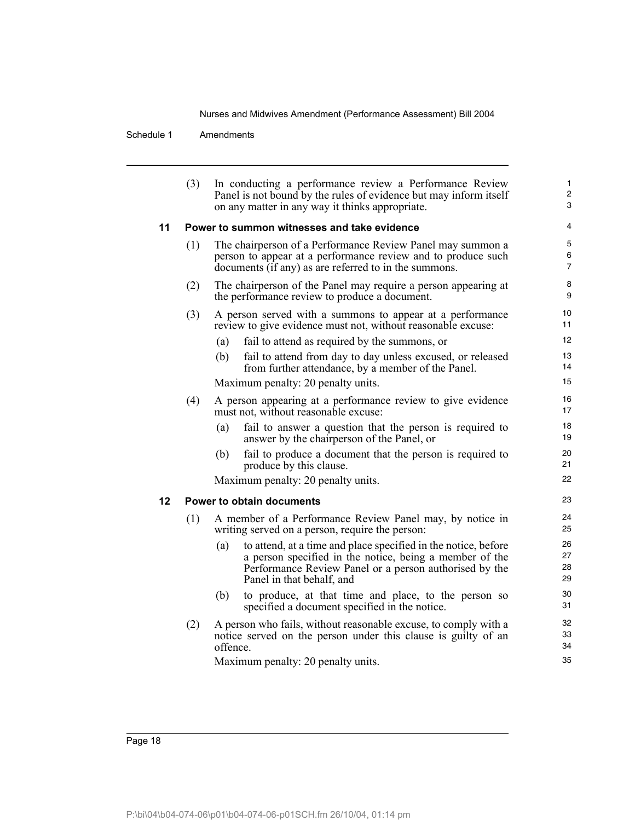|                                                                                                                                                     | (3)                                         | In conducting a performance review a Performance Review<br>Panel is not bound by the rules of evidence but may inform itself<br>on any matter in any way it thinks appropriate.                                         | $\mathbf{1}$<br>$\overline{2}$<br>3 |  |
|-----------------------------------------------------------------------------------------------------------------------------------------------------|---------------------------------------------|-------------------------------------------------------------------------------------------------------------------------------------------------------------------------------------------------------------------------|-------------------------------------|--|
| 11                                                                                                                                                  | Power to summon witnesses and take evidence |                                                                                                                                                                                                                         |                                     |  |
|                                                                                                                                                     | (1)                                         | The chairperson of a Performance Review Panel may summon a<br>person to appear at a performance review and to produce such<br>documents (if any) as are referred to in the summons.                                     | 5<br>6<br>$\overline{7}$            |  |
|                                                                                                                                                     | (2)                                         | The chairperson of the Panel may require a person appearing at<br>the performance review to produce a document.                                                                                                         |                                     |  |
|                                                                                                                                                     | (3)                                         | A person served with a summons to appear at a performance<br>review to give evidence must not, without reasonable excuse:                                                                                               |                                     |  |
|                                                                                                                                                     |                                             | fail to attend as required by the summons, or<br>(a)                                                                                                                                                                    | 12                                  |  |
|                                                                                                                                                     |                                             | (b)<br>fail to attend from day to day unless excused, or released<br>from further attendance, by a member of the Panel.                                                                                                 | 13<br>14                            |  |
|                                                                                                                                                     |                                             | Maximum penalty: 20 penalty units.                                                                                                                                                                                      | 15                                  |  |
|                                                                                                                                                     | (4)                                         | A person appearing at a performance review to give evidence<br>must not, without reasonable excuse:                                                                                                                     | 16<br>17                            |  |
|                                                                                                                                                     |                                             | fail to answer a question that the person is required to<br>(a)<br>answer by the chairperson of the Panel, or                                                                                                           | 18<br>19                            |  |
|                                                                                                                                                     |                                             | (b)<br>fail to produce a document that the person is required to<br>produce by this clause.                                                                                                                             | 20<br>21                            |  |
|                                                                                                                                                     |                                             | Maximum penalty: 20 penalty units.                                                                                                                                                                                      |                                     |  |
| 12                                                                                                                                                  | <b>Power to obtain documents</b>            |                                                                                                                                                                                                                         |                                     |  |
|                                                                                                                                                     | (1)                                         | A member of a Performance Review Panel may, by notice in<br>writing served on a person, require the person:                                                                                                             | 24<br>25                            |  |
|                                                                                                                                                     |                                             | to attend, at a time and place specified in the notice, before<br>(a)<br>a person specified in the notice, being a member of the<br>Performance Review Panel or a person authorised by the<br>Panel in that behalf, and | 26<br>27<br>28<br>29                |  |
|                                                                                                                                                     |                                             | to produce, at that time and place, to the person so<br>(b)<br>specified a document specified in the notice.                                                                                                            | 30<br>31                            |  |
| (2)<br>A person who fails, without reasonable excuse, to comply with a<br>notice served on the person under this clause is guilty of an<br>offence. |                                             |                                                                                                                                                                                                                         | 32<br>33<br>34                      |  |
|                                                                                                                                                     | Maximum penalty: 20 penalty units.          |                                                                                                                                                                                                                         | 35                                  |  |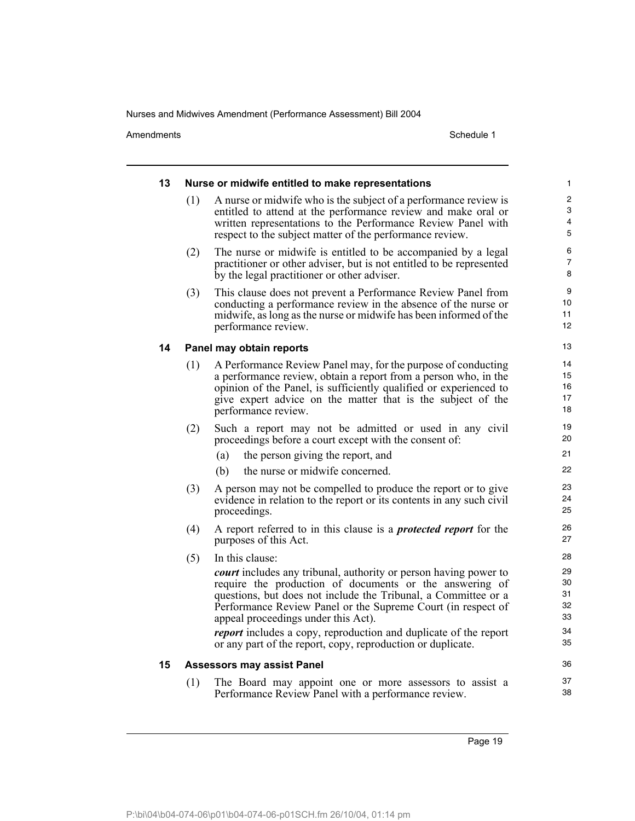Amendments Schedule 1

| 13 |     | Nurse or midwife entitled to make representations                                                                                                                                                                                                                                                                                                                                                                                                                        | $\mathbf{1}$                                 |
|----|-----|--------------------------------------------------------------------------------------------------------------------------------------------------------------------------------------------------------------------------------------------------------------------------------------------------------------------------------------------------------------------------------------------------------------------------------------------------------------------------|----------------------------------------------|
|    | (1) | A nurse or midwife who is the subject of a performance review is<br>entitled to attend at the performance review and make oral or<br>written representations to the Performance Review Panel with<br>respect to the subject matter of the performance review.                                                                                                                                                                                                            | $\overline{c}$<br>3<br>4<br>5                |
|    | (2) | The nurse or midwife is entitled to be accompanied by a legal<br>practitioner or other adviser, but is not entitled to be represented<br>by the legal practitioner or other adviser.                                                                                                                                                                                                                                                                                     | 6<br>$\overline{7}$<br>8                     |
|    | (3) | This clause does not prevent a Performance Review Panel from<br>conducting a performance review in the absence of the nurse or<br>midwife, as long as the nurse or midwife has been informed of the<br>performance review.                                                                                                                                                                                                                                               | 9<br>10<br>11<br>12                          |
| 14 |     | Panel may obtain reports                                                                                                                                                                                                                                                                                                                                                                                                                                                 | 13                                           |
|    | (1) | A Performance Review Panel may, for the purpose of conducting<br>a performance review, obtain a report from a person who, in the<br>opinion of the Panel, is sufficiently qualified or experienced to<br>give expert advice on the matter that is the subject of the<br>performance review.                                                                                                                                                                              | 14<br>15<br>16<br>17<br>18                   |
|    | (2) | Such a report may not be admitted or used in any civil<br>proceedings before a court except with the consent of:                                                                                                                                                                                                                                                                                                                                                         | 19<br>20                                     |
|    |     | the person giving the report, and<br>(a)                                                                                                                                                                                                                                                                                                                                                                                                                                 | 21                                           |
|    |     | the nurse or midwife concerned.<br>(b)                                                                                                                                                                                                                                                                                                                                                                                                                                   | 22                                           |
|    | (3) | A person may not be compelled to produce the report or to give<br>evidence in relation to the report or its contents in any such civil<br>proceedings.                                                                                                                                                                                                                                                                                                                   | 23<br>24<br>25                               |
|    | (4) | A report referred to in this clause is a <i>protected report</i> for the<br>purposes of this Act.                                                                                                                                                                                                                                                                                                                                                                        | 26<br>27                                     |
|    | (5) | In this clause:<br><i>court</i> includes any tribunal, authority or person having power to<br>require the production of documents or the answering of<br>questions, but does not include the Tribunal, a Committee or a<br>Performance Review Panel or the Supreme Court (in respect of<br>appeal proceedings under this Act).<br><i>report</i> includes a copy, reproduction and duplicate of the report<br>or any part of the report, copy, reproduction or duplicate. | 28<br>29<br>30<br>31<br>32<br>33<br>34<br>35 |
| 15 |     | <b>Assessors may assist Panel</b>                                                                                                                                                                                                                                                                                                                                                                                                                                        | 36                                           |
|    | (1) | The Board may appoint one or more assessors to assist a<br>Performance Review Panel with a performance review.                                                                                                                                                                                                                                                                                                                                                           | 37<br>38                                     |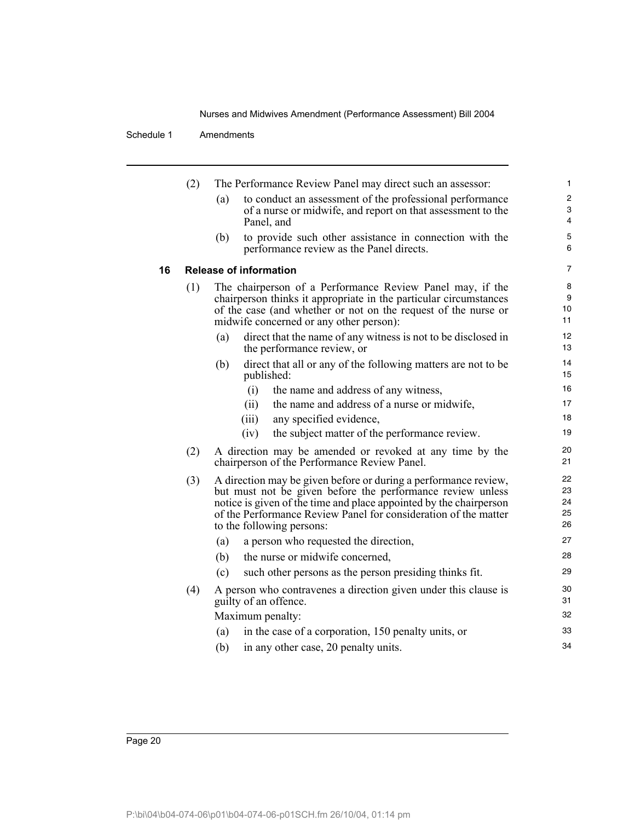|    | (2) |     | The Performance Review Panel may direct such an assessor:                                                                                                                                                                                                                                           | 1                          |
|----|-----|-----|-----------------------------------------------------------------------------------------------------------------------------------------------------------------------------------------------------------------------------------------------------------------------------------------------------|----------------------------|
|    |     | (a) | to conduct an assessment of the professional performance<br>of a nurse or midwife, and report on that assessment to the<br>Panel, and                                                                                                                                                               | $\overline{c}$<br>3<br>4   |
|    |     | (b) | to provide such other assistance in connection with the<br>performance review as the Panel directs.                                                                                                                                                                                                 | 5<br>6                     |
| 16 |     |     | <b>Release of information</b>                                                                                                                                                                                                                                                                       | 7                          |
|    | (1) |     | The chairperson of a Performance Review Panel may, if the<br>chairperson thinks it appropriate in the particular circumstances<br>of the case (and whether or not on the request of the nurse or<br>midwife concerned or any other person):                                                         | 8<br>9<br>10<br>11         |
|    |     | (a) | direct that the name of any witness is not to be disclosed in<br>the performance review, or                                                                                                                                                                                                         | 12<br>13                   |
|    |     | (b) | direct that all or any of the following matters are not to be<br>published:                                                                                                                                                                                                                         | 14<br>15                   |
|    |     |     | (i)<br>the name and address of any witness,                                                                                                                                                                                                                                                         | 16                         |
|    |     |     | the name and address of a nurse or midwife.<br>(ii)                                                                                                                                                                                                                                                 | 17                         |
|    |     |     | (iii)<br>any specified evidence,                                                                                                                                                                                                                                                                    | 18                         |
|    |     |     | the subject matter of the performance review.<br>(iv)                                                                                                                                                                                                                                               | 19                         |
|    | (2) |     | A direction may be amended or revoked at any time by the<br>chairperson of the Performance Review Panel.                                                                                                                                                                                            | 20<br>21                   |
|    | (3) |     | A direction may be given before or during a performance review,<br>but must not be given before the performance review unless<br>notice is given of the time and place appointed by the chairperson<br>of the Performance Review Panel for consideration of the matter<br>to the following persons: | 22<br>23<br>24<br>25<br>26 |
|    |     | (a) | a person who requested the direction,                                                                                                                                                                                                                                                               | 27                         |
|    |     | (b) | the nurse or midwife concerned,                                                                                                                                                                                                                                                                     | 28                         |
|    |     | (c) | such other persons as the person presiding thinks fit.                                                                                                                                                                                                                                              | 29                         |
|    | (4) |     | A person who contravenes a direction given under this clause is<br>guilty of an offence.                                                                                                                                                                                                            | 30<br>31                   |
|    |     |     | Maximum penalty:                                                                                                                                                                                                                                                                                    | 32                         |
|    |     | (a) | in the case of a corporation, 150 penalty units, or                                                                                                                                                                                                                                                 | 33                         |
|    |     | (b) | in any other case, 20 penalty units.                                                                                                                                                                                                                                                                | 34                         |